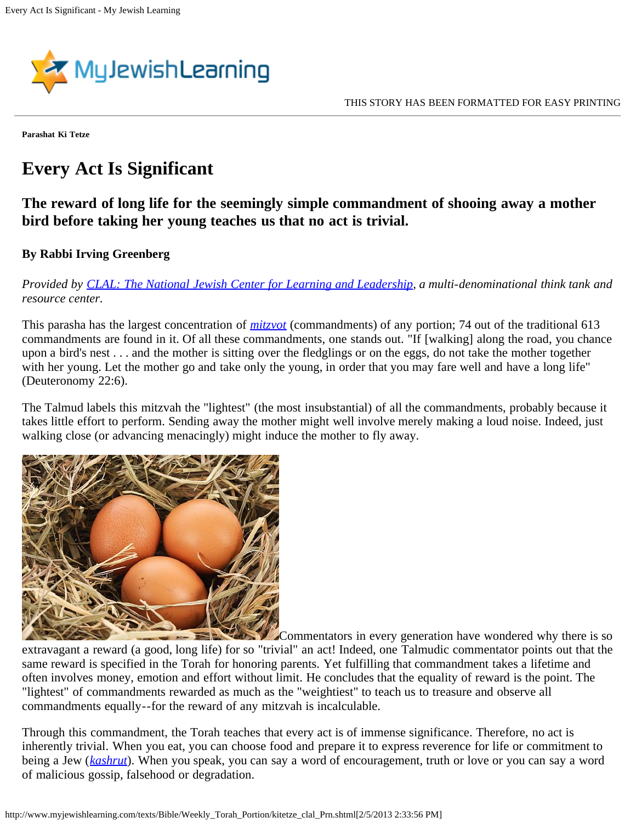

**Parashat Ki Tetze**

## **Every Act Is Significant**

## **The reward of long life for the seemingly simple commandment of shooing away a mother bird before taking her young teaches us that no act is trivial.**

## **By Rabbi Irving Greenberg**

*Provided by [CLAL: The National Jewish Center for Learning and Leadership,](http://www.clal.org/) a multi-denominational think tank and resource center.*

This parasha has the largest concentration of *[mitzvot](http://www.myjewishlearning.com/practices/Ritual/Jewish_Practices/Mitzvot.shtml)* (commandments) of any portion; 74 out of the traditional 613 commandments are found in it. Of all these commandments, one stands out. "If [walking] along the road, you chance upon a bird's nest . . . and the mother is sitting over the fledglings or on the eggs, do not take the mother together with her young. Let the mother go and take only the young, in order that you may fare well and have a long life" (Deuteronomy 22:6).

The Talmud labels this mitzvah the "lightest" (the most insubstantial) of all the commandments, probably because it takes little effort to perform. Sending away the mother might well involve merely making a loud noise. Indeed, just walking close (or advancing menacingly) might induce the mother to fly away.



Commentators in every generation have wondered why there is so extravagant a reward (a good, long life) for so "trivial" an act! Indeed, one Talmudic commentator points out that the same reward is specified in the Torah for honoring parents. Yet fulfilling that commandment takes a lifetime and often involves money, emotion and effort without limit. He concludes that the equality of reward is the point. The "lightest" of commandments rewarded as much as the "weightiest" to teach us to treasure and observe all commandments equally--for the reward of any mitzvah is incalculable.

Through this commandment, the Torah teaches that every act is of immense significance. Therefore, no act is inherently trivial. When you eat, you can choose food and prepare it to express reverence for life or commitment to being a Jew (*[kashrut](http://www.myjewishlearning.com/practices/Ritual/Kashrut_Dietary_Laws.shtml)*). When you speak, you can say a word of encouragement, truth or love or you can say a word of malicious gossip, falsehood or degradation.